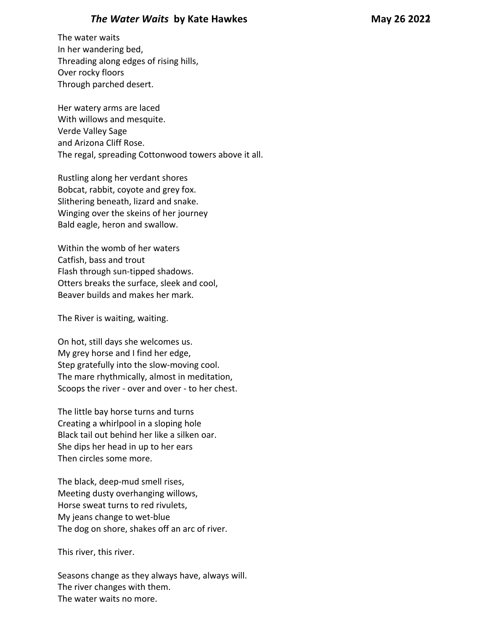## *The Water Waits* **by Kate Hawkes May 26 2022**

The water waits In her wandering bed, Threading along edges of rising hills, Over rocky floors Through parched desert.

Her watery arms are laced With willows and mesquite. Verde Valley Sage and Arizona Cliff Rose. The regal, spreading Cottonwood towers above it all.

Rustling along her verdant shores Bobcat, rabbit, coyote and grey fox. Slithering beneath, lizard and snake. Winging over the skeins of her journey Bald eagle, heron and swallow.

Within the womb of her waters Catfish, bass and trout Flash through sun-tipped shadows. Otters breaks the surface, sleek and cool, Beaver builds and makes her mark.

The River is waiting, waiting.

On hot, still days she welcomes us. My grey horse and I find her edge, Step gratefully into the slow-moving cool. The mare rhythmically, almost in meditation, Scoops the river - over and over - to her chest.

The little bay horse turns and turns Creating a whirlpool in a sloping hole Black tail out behind her like a silken oar. She dips her head in up to her ears Then circles some more.

The black, deep-mud smell rises, Meeting dusty overhanging willows, Horse sweat turns to red rivulets, My jeans change to wet-blue The dog on shore, shakes off an arc of river.

This river, this river.

Seasons change as they always have, always will. The river changes with them. The water waits no more.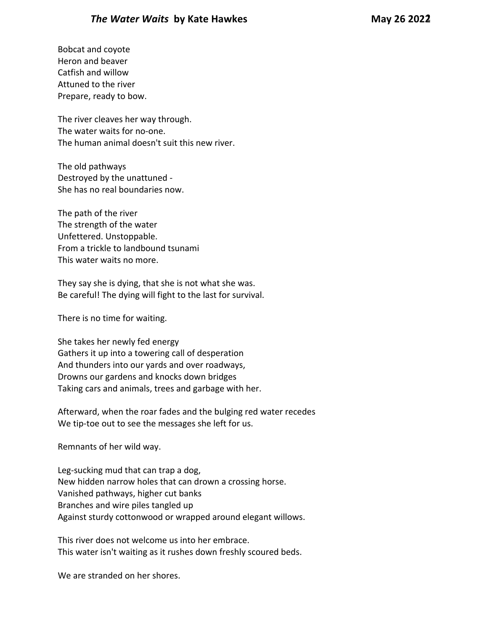## *The Water Waits* **by Kate Hawkes May 26 2022**

Bobcat and coyote Heron and beaver Catfish and willow Attuned to the river Prepare, ready to bow.

The river cleaves her way through. The water waits for no-one. The human animal doesn't suit this new river.

The old pathways Destroyed by the unattuned - She has no real boundaries now.

The path of the river The strength of the water Unfettered. Unstoppable. From a trickle to landbound tsunami This water waits no more.

They say she is dying, that she is not what she was. Be careful! The dying will fight to the last for survival.

There is no time for waiting.

She takes her newly fed energy Gathers it up into a towering call of desperation And thunders into our yards and over roadways, Drowns our gardens and knocks down bridges Taking cars and animals, trees and garbage with her.

Afterward, when the roar fades and the bulging red water recedes We tip-toe out to see the messages she left for us.

Remnants of her wild way.

Leg-sucking mud that can trap a dog, New hidden narrow holes that can drown a crossing horse. Vanished pathways, higher cut banks Branches and wire piles tangled up Against sturdy cottonwood or wrapped around elegant willows.

This river does not welcome us into her embrace. This water isn't waiting as it rushes down freshly scoured beds.

We are stranded on her shores.